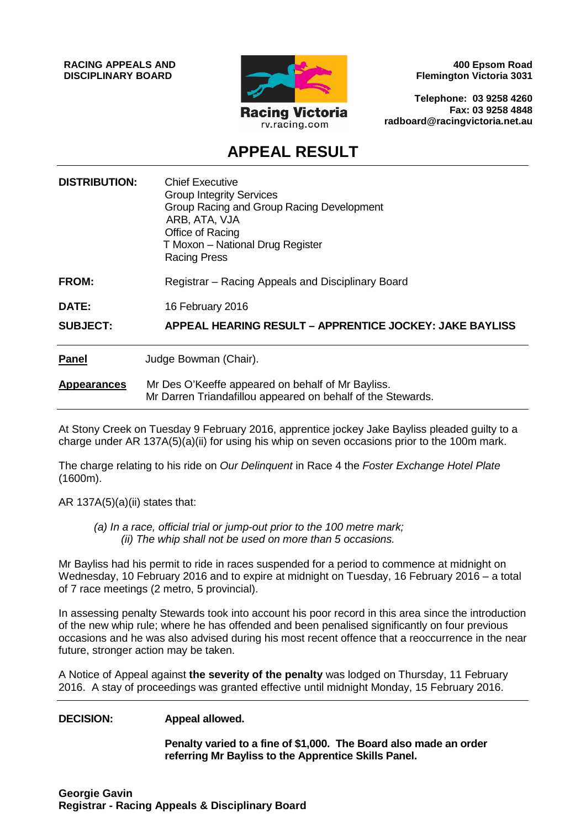**RACING APPEALS AND DISCIPLINARY BOARD**



**400 Epsom Road Flemington Victoria 3031**

**Telephone: 03 9258 4260 Fax: 03 9258 4848 radboard@racingvictoria.net.au**

## **APPEAL RESULT**

| <b>DISTRIBUTION:</b> | <b>Chief Executive</b><br><b>Group Integrity Services</b><br>Group Racing and Group Racing Development<br>ARB, ATA, VJA<br>Office of Racing<br>T Moxon - National Drug Register<br><b>Racing Press</b> |
|----------------------|--------------------------------------------------------------------------------------------------------------------------------------------------------------------------------------------------------|
| <b>FROM:</b>         | Registrar – Racing Appeals and Disciplinary Board                                                                                                                                                      |
| DATE:                | 16 February 2016                                                                                                                                                                                       |
| <b>SUBJECT:</b>      | <b>APPEAL HEARING RESULT - APPRENTICE JOCKEY: JAKE BAYLISS</b>                                                                                                                                         |
| <b>Panel</b>         | Judge Bowman (Chair).                                                                                                                                                                                  |
| <b>Appearances</b>   | Mr Des O'Keeffe appeared on behalf of Mr Bayliss.<br>Mr Darren Triandafillou appeared on behalf of the Stewards.                                                                                       |

At Stony Creek on Tuesday 9 February 2016, apprentice jockey Jake Bayliss pleaded guilty to a charge under AR 137A(5)(a)(ii) for using his whip on seven occasions prior to the 100m mark.

The charge relating to his ride on *Our Delinquent* in Race 4 the *Foster Exchange Hotel Plate* (1600m).

AR  $137A(5)(a)(ii)$  states that:

*(a) In a race, official trial or jump-out prior to the 100 metre mark; (ii) The whip shall not be used on more than 5 occasions.*

Mr Bayliss had his permit to ride in races suspended for a period to commence at midnight on Wednesday, 10 February 2016 and to expire at midnight on Tuesday, 16 February 2016 – a total of 7 race meetings (2 metro, 5 provincial).

In assessing penalty Stewards took into account his poor record in this area since the introduction of the new whip rule; where he has offended and been penalised significantly on four previous occasions and he was also advised during his most recent offence that a reoccurrence in the near future, stronger action may be taken.

A Notice of Appeal against **the severity of the penalty** was lodged on Thursday, 11 February 2016. A stay of proceedings was granted effective until midnight Monday, 15 February 2016.

#### **DECISION: Appeal allowed.**

**Penalty varied to a fine of \$1,000. The Board also made an order referring Mr Bayliss to the Apprentice Skills Panel.**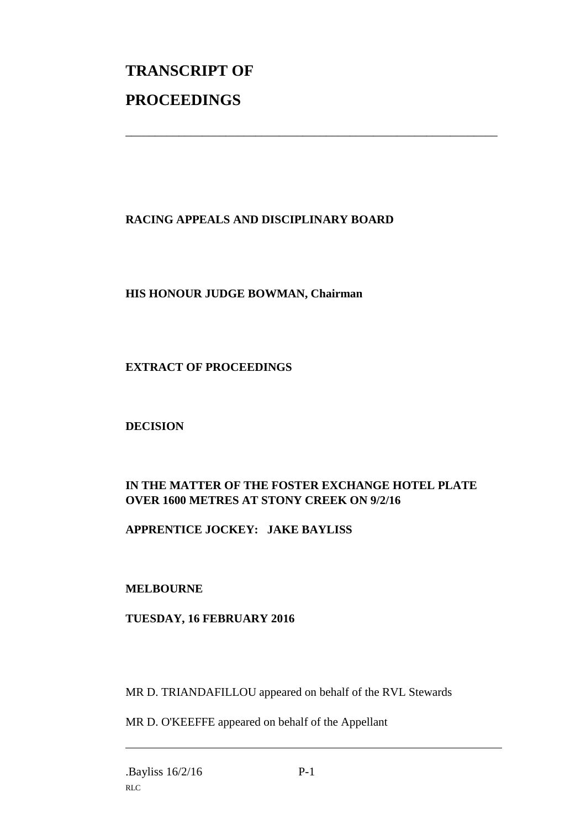# **TRANSCRIPT OF PROCEEDINGS**

### **RACING APPEALS AND DISCIPLINARY BOARD**

\_\_\_\_\_\_\_\_\_\_\_\_\_\_\_\_\_\_\_\_\_\_\_\_\_\_\_\_\_\_\_\_\_\_\_\_\_\_\_\_\_\_\_\_\_\_\_\_\_\_\_\_\_\_\_\_\_\_\_\_\_\_\_

#### **HIS HONOUR JUDGE BOWMAN, Chairman**

#### **EXTRACT OF PROCEEDINGS**

#### **DECISION**

#### **IN THE MATTER OF THE FOSTER EXCHANGE HOTEL PLATE OVER 1600 METRES AT STONY CREEK ON 9/2/16**

#### **APPRENTICE JOCKEY: JAKE BAYLISS**

#### **MELBOURNE**

#### **TUESDAY, 16 FEBRUARY 2016**

MR D. TRIANDAFILLOU appeared on behalf of the RVL Stewards

MR D. O'KEEFFE appeared on behalf of the Appellant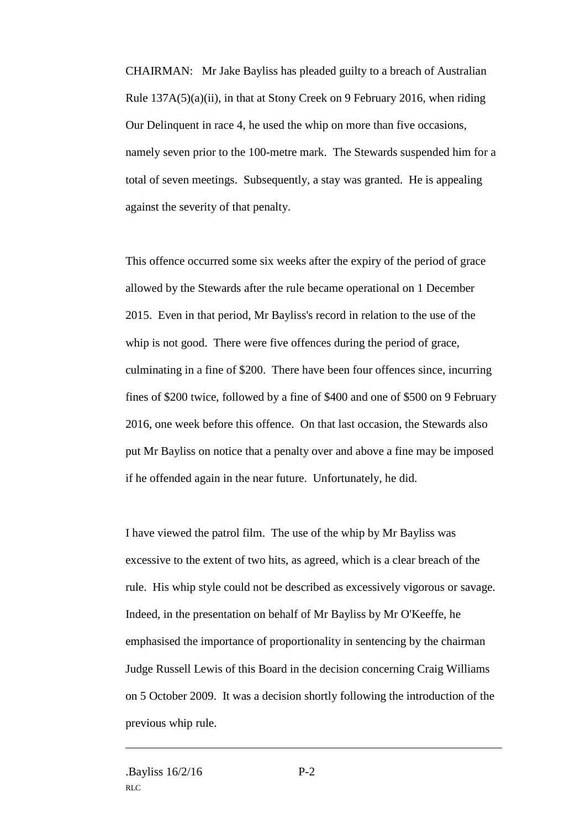CHAIRMAN: Mr Jake Bayliss has pleaded guilty to a breach of Australian Rule 137A(5)(a)(ii), in that at Stony Creek on 9 February 2016, when riding Our Delinquent in race 4, he used the whip on more than five occasions, namely seven prior to the 100-metre mark. The Stewards suspended him for a total of seven meetings. Subsequently, a stay was granted. He is appealing against the severity of that penalty.

This offence occurred some six weeks after the expiry of the period of grace allowed by the Stewards after the rule became operational on 1 December 2015. Even in that period, Mr Bayliss's record in relation to the use of the whip is not good. There were five offences during the period of grace, culminating in a fine of \$200. There have been four offences since, incurring fines of \$200 twice, followed by a fine of \$400 and one of \$500 on 9 February 2016, one week before this offence. On that last occasion, the Stewards also put Mr Bayliss on notice that a penalty over and above a fine may be imposed if he offended again in the near future. Unfortunately, he did.

I have viewed the patrol film. The use of the whip by Mr Bayliss was excessive to the extent of two hits, as agreed, which is a clear breach of the rule. His whip style could not be described as excessively vigorous or savage. Indeed, in the presentation on behalf of Mr Bayliss by Mr O'Keeffe, he emphasised the importance of proportionality in sentencing by the chairman Judge Russell Lewis of this Board in the decision concerning Craig Williams on 5 October 2009. It was a decision shortly following the introduction of the previous whip rule.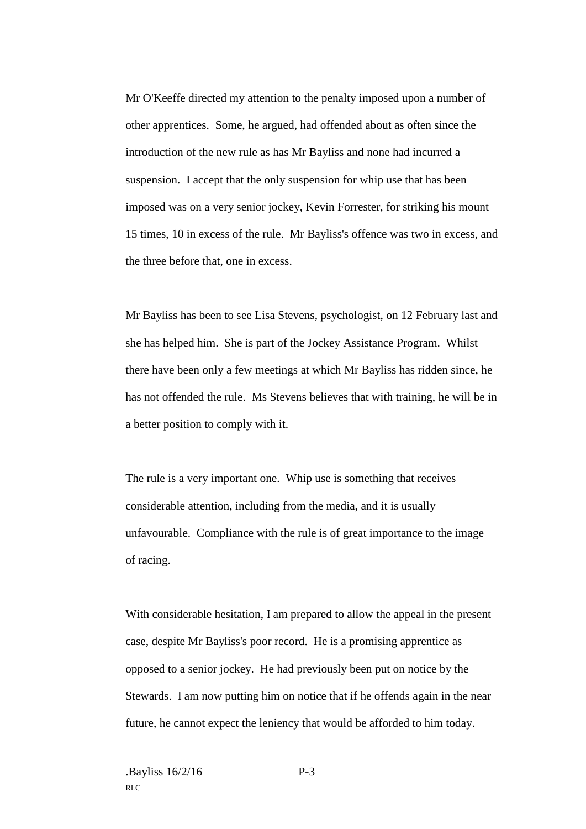Mr O'Keeffe directed my attention to the penalty imposed upon a number of other apprentices. Some, he argued, had offended about as often since the introduction of the new rule as has Mr Bayliss and none had incurred a suspension. I accept that the only suspension for whip use that has been imposed was on a very senior jockey, Kevin Forrester, for striking his mount 15 times, 10 in excess of the rule. Mr Bayliss's offence was two in excess, and the three before that, one in excess.

Mr Bayliss has been to see Lisa Stevens, psychologist, on 12 February last and she has helped him. She is part of the Jockey Assistance Program. Whilst there have been only a few meetings at which Mr Bayliss has ridden since, he has not offended the rule. Ms Stevens believes that with training, he will be in a better position to comply with it.

The rule is a very important one. Whip use is something that receives considerable attention, including from the media, and it is usually unfavourable. Compliance with the rule is of great importance to the image of racing.

With considerable hesitation, I am prepared to allow the appeal in the present case, despite Mr Bayliss's poor record. He is a promising apprentice as opposed to a senior jockey. He had previously been put on notice by the Stewards. I am now putting him on notice that if he offends again in the near future, he cannot expect the leniency that would be afforded to him today.